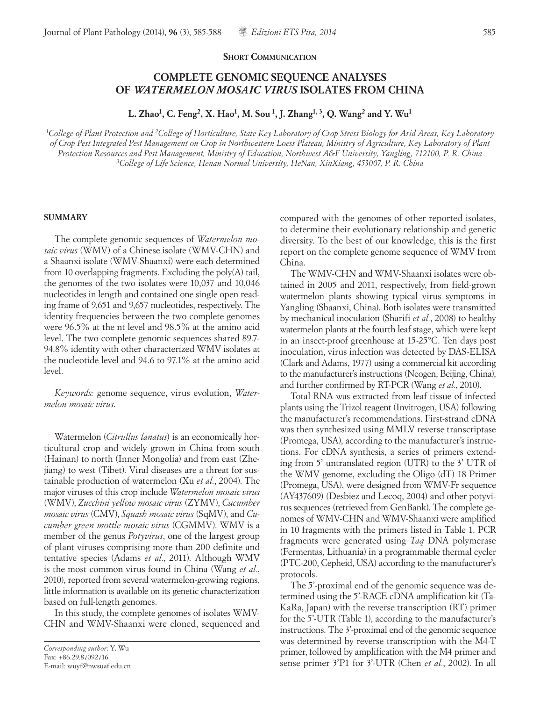#### **SHORT COMMUNICATION**

# **COMPLETE GENOMIC SEQUENCE ANALYSES OF** *WATERMELON MOSAIC VIRUS* **ISOLATES FROM CHINA**

**L. Zhao1, C. Feng2, X. Hao1, M. Sou 1, J. Zhang1, 3, Q. Wang2 and Y. Wu1**

*1College of Plant Protection and 2College of Horticulture, State Key Laboratory of Crop Stress Biology for Arid Areas, Key Laboratory of Crop Pest Integrated Pest Management on Crop in Northwestern Loess Plateau, Ministry of Agriculture, Key Laboratory of Plant Protection Resources and Pest Management, Ministry of Education, Northwest A&F University, Yangling, 712100, P. R. China 3College of Life Science, Henan Normal University, HeNan, XinXiang, 453007, P. R. China*

### **SUMMARY**

The complete genomic sequences of *Watermelon mosaic virus* (WMV) of a Chinese isolate (WMV-CHN) and a Shaanxi isolate (WMV-Shaanxi) were each determined from 10 overlapping fragments. Excluding the poly(A) tail, the genomes of the two isolates were 10,037 and 10,046 nucleotides in length and contained one single open reading frame of 9,651 and 9,657 nucleotides, respectively. The identity frequencies between the two complete genomes were 96.5% at the nt level and 98.5% at the amino acid level. The two complete genomic sequences shared 89.7- 94.8% identity with other characterized WMV isolates at the nucleotide level and 94.6 to 97.1% at the amino acid level.

*Keywords:* genome sequence, virus evolution, *Watermelon mosaic virus*.

Watermelon (*Citrullus lanatus*) is an economically horticultural crop and widely grown in China from south (Hainan) to north (Inner Mongolia) and from east (Zhejiang) to west (Tibet). Viral diseases are a threat for sustainable production of watermelon (Xu *et al.*, 2004). The major viruses of this crop include *Watermelon mosaic virus* (WMV), *Zucchini yellow mosaic virus* (ZYMV), *Cucumber mosaic virus* (CMV), *Squash mosaic virus* (SqMV), and *Cucumber green mottle mosaic virus* (CGMMV). WMV is a member of the genus *Potyvirus*, one of the largest group of plant viruses comprising more than 200 definite and tentative species (Adams *et al.*, 2011). Although WMV is the most common virus found in China (Wang *et al.*, 2010), reported from several watermelon-growing regions, little information is available on its genetic characterization based on full-length genomes.

In this study, the complete genomes of isolates WMV-CHN and WMV-Shaanxi were cloned, sequenced and compared with the genomes of other reported isolates, to determine their evolutionary relationship and genetic diversity. To the best of our knowledge, this is the first report on the complete genome sequence of WMV from China.

The WMV-CHN and WMV-Shaanxi isolates were obtained in 2005 and 2011, respectively, from field-grown watermelon plants showing typical virus symptoms in Yangling (Shaanxi, China). Both isolates were transmitted by mechanical inoculation (Sharifi *et al.*, 2008) to healthy watermelon plants at the fourth leaf stage, which were kept in an insect-proof greenhouse at 15-25°C. Ten days post inoculation, virus infection was detected by DAS-ELISA (Clark and Adams, 1977) using a commercial kit according to the manufacturer's instructions (Neogen, Beijing, China), and further confirmed by RT-PCR (Wang *et al.*, 2010).

Total RNA was extracted from leaf tissue of infected plants using the Trizol reagent (Invitrogen, USA) following the manufacturer's recommendations. First-strand cDNA was then synthesized using MMLV reverse transcriptase (Promega, USA), according to the manufacturer's instructions. For cDNA synthesis, a series of primers extending from 5' untranslated region (UTR) to the 3' UTR of the WMV genome, excluding the Oligo (dT) 18 Primer (Promega, USA), were designed from WMV-Fr sequence (AY437609) (Desbiez and Lecoq, 2004) and other potyvirus sequences (retrieved from GenBank). The complete genomes of WMV-CHN and WMV-Shaanxi were amplified in 10 fragments with the primers listed in Table 1. PCR fragments were generated using *Taq* DNA polymerase (Fermentas, Lithuania) in a programmable thermal cycler (PTC-200, Cepheid, USA) according to the manufacturer's protocols.

The 5'-proximal end of the genomic sequence was determined using the 5'-RACE cDNA amplification kit (Ta-KaRa, Japan) with the reverse transcription (RT) primer for the 5'-UTR (Table 1), according to the manufacturer's instructions. The 3'-proximal end of the genomic sequence was determined by reverse transcription with the M4-T primer, followed by amplification with the M4 primer and sense primer 3'P1 for 3'-UTR (Chen *et al.*, 2002). In all

*Corresponding author*: Y. Wu Fax: +86.29.87092716 E-mail: wuyf@nwsuaf.edu.cn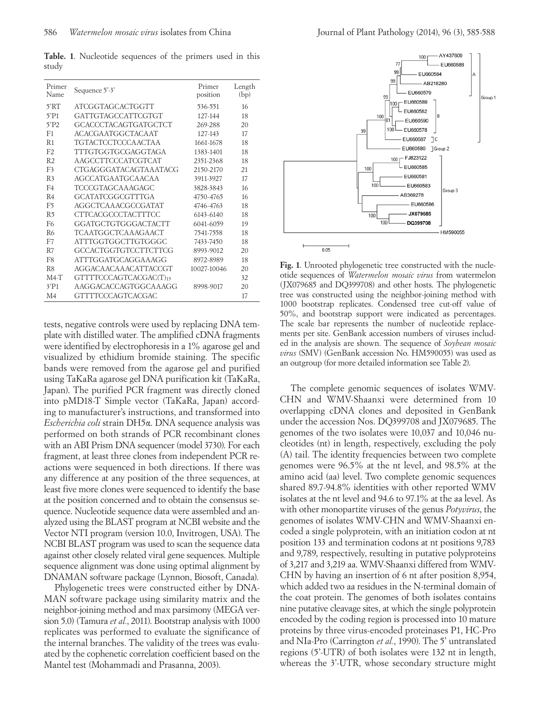**Table. 1**. Nucleotide sequences of the primers used in this study

| Primer<br>Name      | Sequence 5'-3'              | Primer<br>position | Length<br>(bp) |
|---------------------|-----------------------------|--------------------|----------------|
| 5'RT                | ATCGGTAGCACTGGTT            | 536-551            | 16             |
| 5'P1                | <b>GATTGTAGCCATTCGTGT</b>   | 127-144            | 18             |
| $5'$ P <sub>2</sub> | <b>GCACCCTACAGTGATGCTCT</b> | 269-288            | 20             |
| F <sub>1</sub>      | <b>ACACGA ATGGCTACA AT</b>  | 127-143            | 17             |
| R <sub>1</sub>      | <b>TGTACTCCTCCCAACTAA</b>   | 1661-1678          | 18             |
| F <sub>2</sub>      | TTTGTGGTGCGAGGTAGA          | 1383-1401          | 18             |
| R <sub>2</sub>      | AAGCCTTCCCATCGTCAT          | 2351-2368          | 18             |
| F <sub>3</sub>      | CTGAGGGATACAGTAAATACG       | 2150-2170          | 21             |
| R <sub>3</sub>      | <b>AGCCATGAATGCAACAA</b>    | 3911-3927          | 17             |
| F <sub>4</sub>      | TCCCGTAGCAAAGAGC            | 3828-3843          | 16             |
| R <sub>4</sub>      | GCATATCGGCGTTTGA            | 4750-4765          | 16             |
| F <sub>5</sub>      | AGGCTCAAACGCCGATAT          | 4746-4763          | 18             |
| R <sub>5</sub>      | <b>CTTCACGCCCTACTTTCC</b>   | 6143-6140          | 18             |
| F <sub>6</sub>      | GGATGCTGTGGGACTACTT         | 6041-6059          | 19             |
| R <sub>6</sub>      | <b>TCAATGGCTCAAAGAACT</b>   | 7541-7558          | 18             |
| F7                  | ATTTGGTGGCTTGTGGGC          | 7433-7450          | 18             |
| R7                  | GCCACTGGTGTCCTTCTTCG        | 8993-9012          | 20             |
| F <sub>8</sub>      | <b>ATTTGGATGCAGGAAAGG</b>   | 8972-8989          | 18             |
| R <sub>8</sub>      | AGGACAACAAACATTACCGT        | 10027-10046        | 20             |
| $M4-T$              | GTTTTCCCAGTCACGAC(T)15      |                    | 32             |
| 3'P1                | AAGGACACCAGTGGCAAAGG        | 8998-9017          | 20             |
| M <sub>4</sub>      | <b>GTTTTCCCAGTCACGAC</b>    |                    | 17             |

tests, negative controls were used by replacing DNA template with distilled water. The amplified cDNA fragments were identified by electrophoresis in a 1% agarose gel and visualized by ethidium bromide staining. The specific bands were removed from the agarose gel and purified using TaKaRa agarose gel DNA purification kit (TaKaRa, Japan). The purified PCR fragment was directly cloned into pMD18-T Simple vector (TaKaRa, Japan) according to manufacturer's instructions, and transformed into *Escherichia coli* strain DH5α. DNA sequence analysis was performed on both strands of PCR recombinant clones with an ABI Prism DNA sequencer (model 3730). For each fragment, at least three clones from independent PCR reactions were sequenced in both directions. If there was any difference at any position of the three sequences, at least five more clones were sequenced to identify the base at the position concerned and to obtain the consensus sequence. Nucleotide sequence data were assembled and analyzed using the BLAST program at NCBI website and the Vector NTI program (version 10.0, Invitrogen, USA). The NCBI BLAST program was used to scan the sequence data against other closely related viral gene sequences. Multiple sequence alignment was done using optimal alignment by DNAMAN software package (Lynnon, Biosoft, Canada).

Phylogenetic trees were constructed either by DNA-MAN software package using similarity matrix and the neighbor-joining method and max parsimony (MEGA version 5.0) (Tamura *et al.*, 2011). Bootstrap analysis with 1000 replicates was performed to evaluate the significance of the internal branches. The validity of the trees was evaluated by the cophenetic correlation coefficient based on the Mantel test (Mohammadi and Prasanna, 2003).



**Fig. 1**. Unrooted phylogenetic tree constructed with the nucleotide sequences of *Watermelon mosaic virus* from watermelon (JX079685 and DQ399708) and other hosts. The phylogenetic tree was constructed using the neighbor-joining method with 1000 bootstrap replicates. Condensed tree cut-off value of 50%, and bootstrap support were indicated as percentages. The scale bar represents the number of nucleotide replacements per site. GenBank accession numbers of viruses included in the analysis are shown. The sequence of *Soybean mosaic virus* (SMV) (GenBank accession No. HM590055) was used as an outgroup (for more detailed information see Table 2).

The complete genomic sequences of isolates WMV-CHN and WMV-Shaanxi were determined from 10 overlapping cDNA clones and deposited in GenBank under the accession Nos. DQ399708 and JX079685. The genomes of the two isolates were 10,037 and 10,046 nucleotides (nt) in length, respectively, excluding the poly (A) tail. The identity frequencies between two complete genomes were 96.5% at the nt level, and 98.5% at the amino acid (aa) level. Two complete genomic sequences shared 89.7-94.8% identities with other reported WMV isolates at the nt level and 94.6 to 97.1% at the aa level. As with other monopartite viruses of the genus *Potyvirus*, the genomes of isolates WMV-CHN and WMV-Shaanxi encoded a single polyprotein, with an initiation codon at nt position 133 and termination codons at nt positions 9,783 and 9,789, respectively, resulting in putative polyproteins of 3,217 and 3,219 aa. WMV-Shaanxi differed from WMV-CHN by having an insertion of 6 nt after position 8,954, which added two aa residues in the N-terminal domain of the coat protein. The genomes of both isolates contains nine putative cleavage sites, at which the single polyprotein encoded by the coding region is processed into 10 mature proteins by three virus-encoded proteinases P1, HC-Pro and NIa-Pro (Carrington *et al.*, 1990). The 5' untranslated regions (5'-UTR) of both isolates were 132 nt in length, whereas the 3'-UTR, whose secondary structure might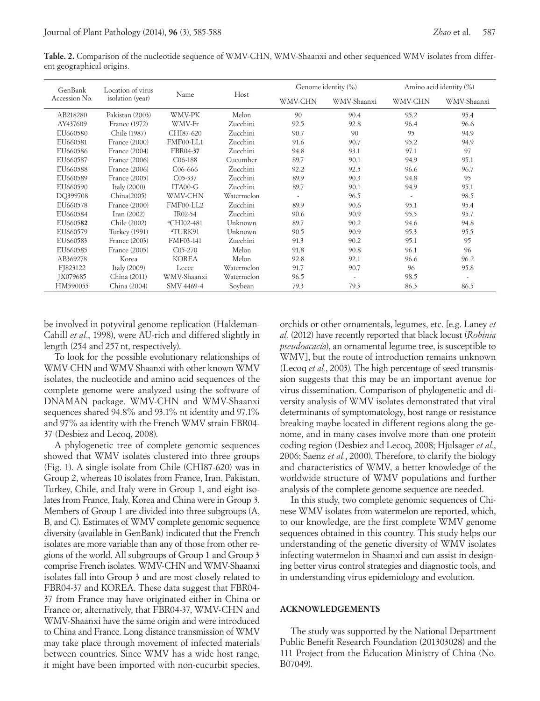**Table. 2.** Comparison of the nucleotide sequence of WMV-CHN, WMV-Shaanxi and other sequenced WMV isolates from different geographical origins.

| GenBank<br>Accession No. | Location of virus<br>isolation (year) | Name                   | Host       | Genome identity (%) |             | Amino acid identity (%) |             |
|--------------------------|---------------------------------------|------------------------|------------|---------------------|-------------|-------------------------|-------------|
|                          |                                       |                        |            | WMV-CHN             | WMV-Shaanxi | WMV-CHN                 | WMV-Shaanxi |
| AB218280                 | Pakistan (2003)                       | WMV-PK                 | Melon      | 90                  | 90.4        | 95.2                    | 95.4        |
| AY437609                 | France (1972)                         | WMV-Fr                 | Zucchini   | 92.5                | 92.8        | 96.4                    | 96.6        |
| EU660580                 | Chile (1987)                          | CHI87-620              | Zucchini   | 90.7                | 90          | 95                      | 94.9        |
| EU660581                 | France (2000)                         | FMF00-LL1              | Zucchini   | 91.6                | 90.7        | 95.2                    | 94.9        |
| EU660586                 | France (2004)                         | FBR04-37               | Zucchini   | 94.8                | 93.1        | 97.1                    | 97          |
| EU660587                 | France (2006)                         | C <sub>06</sub> -188   | Cucumber   | 89.7                | 90.1        | 94.9                    | 95.1        |
| EU660588                 | France (2006)                         | $C_{06-666}$           | Zucchini   | 92.2                | 92.5        | 96.6                    | 96.7        |
| EU660589                 | France (2005)                         | $C_{05-337}$           | Zucchini   | 89.9                | 90.3        | 94.8                    | 95          |
| EU660590                 | Italy $(2000)$                        | ITA00-G                | Zucchini   | 89.7                | 90.1        | 94.9                    | 95.1        |
| DQ399708                 | China(2005)                           | WMV-CHN                | Watermelon | $\sim$              | 96.5        |                         | 98.5        |
| EU660578                 | France (2000)                         | FMF00-LL2              | Zucchini   | 89.9                | 90.6        | 95.1                    | 95.4        |
| EU660584                 | Iran $(2002)$                         | IR02-54                | Zucchini   | 90.6                | 90.9        | 95.5                    | 95.7        |
| EU660582                 | Chile (2002)                          | <sup>a</sup> CHI02-481 | Unknown    | 89.7                | 90.2        | 94.6                    | 94.8        |
| EU660579                 | <b>Turkey</b> (1991)                  | <sup>a</sup> TURK91    | Unknown    | 90.5                | 90.9        | 95.3                    | 95.5        |
| EU660583                 | France (2003)                         | FMF03-141              | Zucchini   | 91.3                | 90.2        | 95.1                    | 95          |
| EU660585                 | France (2005)                         | $C_{05-270}$           | Melon      | 91.8                | 90.8        | 96.1                    | 96          |
| AB369278                 | Korea                                 | <b>KOREA</b>           | Melon      | 92.8                | 92.1        | 96.6                    | 96.2        |
| FJ823122                 | Italy $(2009)$                        | Lecce                  | Watermelon | 91.7                | 90.7        | 96                      | 95.8        |
| JX079685                 | China (2011)                          | WMV-Shaanxi            | Watermelon | 96.5                | ٠           | 98.5                    |             |
| HM590055                 | China (2004)                          | SMV 4469-4             | Soybean    | 79.3                | 79.3        | 86.3                    | 86.5        |

be involved in potyviral genome replication (Haldeman-Cahill *et al.*, 1998), were AU-rich and differed slightly in length (254 and 257nt, respectively).

To look for the possible evolutionary relationships of WMV-CHN and WMV-Shaanxi with other known WMV isolates, the nucleotide and amino acid sequences of the complete genome were analyzed using the software of DNAMAN package. WMV-CHN and WMV-Shaanxi sequences shared 94.8% and 93.1% nt identity and 97.1% and 97% aa identity with the French WMV strain FBR04- 37 (Desbiez and Lecoq, 2008).

A phylogenetic tree of complete genomic sequences showed that WMV isolates clustered into three groups (Fig. 1). A single isolate from Chile (CHI87-620) was in Group 2, whereas 10 isolates from France, Iran, Pakistan, Turkey, Chile, and Italy were in Group 1, and eight isolates from France, Italy, Korea and China were in Group 3. Members of Group 1 are divided into three subgroups (A, B, and C). Estimates of WMV complete genomic sequence diversity (available in GenBank) indicated that the French isolates are more variable than any of those from other regions of the world. All subgroups of Group 1 and Group 3 comprise French isolates. WMV-CHN and WMV-Shaanxi isolates fall into Group 3 and are most closely related to FBR04-37 and KOREA. These data suggest that FBR04- 37 from France may have originated either in China or France or, alternatively, that FBR04-37, WMV-CHN and WMV-Shaanxi have the same origin and were introduced to China and France. Long distance transmission of WMV may take place through movement of infected materials between countries. Since WMV has a wide host range, it might have been imported with non-cucurbit species,

orchids or other ornamentals, legumes, etc. [e.g. Laney *et al.* (2012) have recently reported that black locust (*Robinia pseudoacacia*), an ornamental legume tree, is susceptible to WMV], but the route of introduction remains unknown (Lecoq *et al.*, 2003). The high percentage of seed transmission suggests that this may be an important avenue for virus dissemination. Comparison of phylogenetic and diversity analysis of WMV isolates demonstrated that viral determinants of symptomatology, host range or resistance breaking maybe located in different regions along the genome, and in many cases involve more than one protein coding region (Desbiez and Lecoq, 2008; Hjulsager *et al.*, 2006; Saenz *et al.*, 2000). Therefore, to clarify the biology and characteristics of WMV, a better knowledge of the worldwide structure of WMV populations and further analysis of the complete genome sequence are needed.

In this study, two complete genomic sequences of Chinese WMV isolates from watermelon are reported, which, to our knowledge, are the first complete WMV genome sequences obtained in this country. This study helps our understanding of the genetic diversity of WMV isolates infecting watermelon in Shaanxi and can assist in designing better virus control strategies and diagnostic tools, and in understanding virus epidemiology and evolution.

### **ACKNOWLEDGEMENTS**

The study was supported by the National Department Public Benefit Research Foundation (201303028) and the 111 Project from the Education Ministry of China (No. B07049).